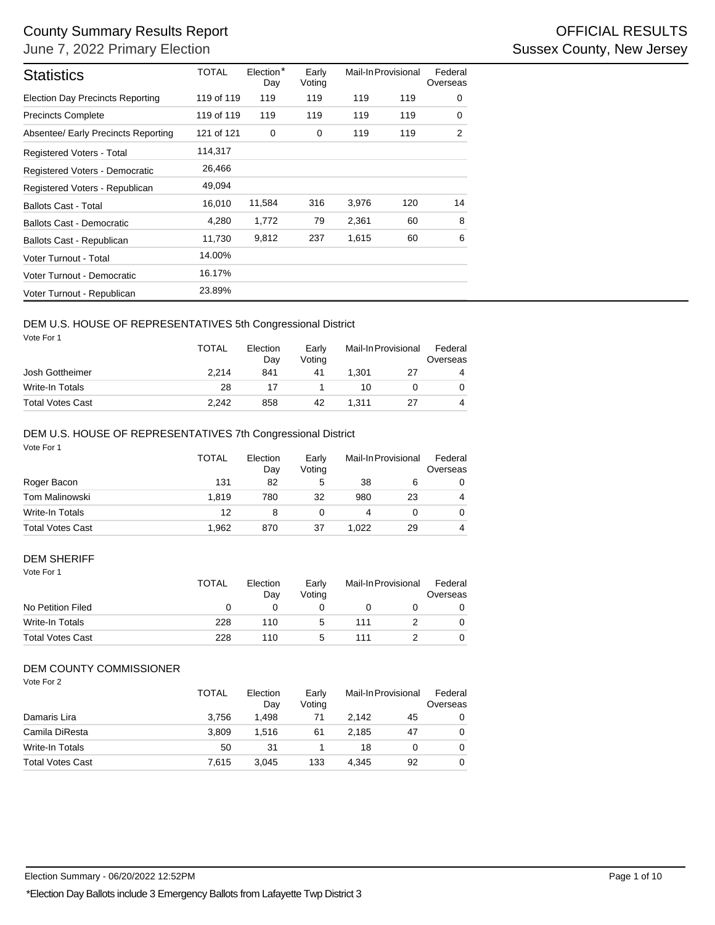| Day<br>119<br>119 of 119<br>119 of 119<br>119<br>121 of 121<br>0<br>11,584<br>1,772<br>9,812 | Voting<br>119<br>119<br>0<br>316<br>79 | 119<br>119<br>119<br>3,976 | 119<br>119<br>119                                                                                                                                  | 0<br>0<br>$\overline{2}$                                                          |
|----------------------------------------------------------------------------------------------|----------------------------------------|----------------------------|----------------------------------------------------------------------------------------------------------------------------------------------------|-----------------------------------------------------------------------------------|
|                                                                                              |                                        |                            |                                                                                                                                                    |                                                                                   |
|                                                                                              |                                        |                            |                                                                                                                                                    |                                                                                   |
|                                                                                              |                                        |                            |                                                                                                                                                    |                                                                                   |
|                                                                                              |                                        |                            |                                                                                                                                                    |                                                                                   |
|                                                                                              |                                        |                            |                                                                                                                                                    |                                                                                   |
|                                                                                              |                                        |                            |                                                                                                                                                    |                                                                                   |
|                                                                                              |                                        |                            | 120                                                                                                                                                | 14                                                                                |
|                                                                                              |                                        | 2,361                      | 60                                                                                                                                                 | 8                                                                                 |
|                                                                                              | 237                                    | 1,615                      | 60                                                                                                                                                 | 6                                                                                 |
|                                                                                              |                                        |                            |                                                                                                                                                    |                                                                                   |
|                                                                                              |                                        |                            |                                                                                                                                                    |                                                                                   |
|                                                                                              |                                        |                            |                                                                                                                                                    |                                                                                   |
| Election<br>Day<br>841                                                                       | Early<br>Voting<br>41                  | 1,301                      | 27                                                                                                                                                 | Federal<br>Overseas<br>4                                                          |
| 17                                                                                           | 1                                      | 10                         | 0                                                                                                                                                  | 0                                                                                 |
|                                                                                              |                                        |                            |                                                                                                                                                    | 4                                                                                 |
|                                                                                              |                                        |                            |                                                                                                                                                    |                                                                                   |
| Day                                                                                          | Voting                                 |                            |                                                                                                                                                    | Federal<br>Overseas<br>0                                                          |
| 780                                                                                          | 32                                     | 980                        | 23                                                                                                                                                 | 4                                                                                 |
| 8                                                                                            | 0                                      | 4                          | 0                                                                                                                                                  | 0                                                                                 |
| 870                                                                                          | 37                                     | 1,022                      | 29                                                                                                                                                 | 4                                                                                 |
| Election                                                                                     | Early                                  |                            |                                                                                                                                                    | Federal<br>Overseas                                                               |
| 0                                                                                            | 0                                      | 0                          | 0                                                                                                                                                  | 0                                                                                 |
| 110                                                                                          | 5                                      | 111                        | 2                                                                                                                                                  | 0                                                                                 |
|                                                                                              | 5                                      |                            |                                                                                                                                                    | 0                                                                                 |
|                                                                                              |                                        |                            |                                                                                                                                                    |                                                                                   |
| Election                                                                                     | Early                                  | Mail-In Provisional        |                                                                                                                                                    | Federal                                                                           |
| Day<br>1,498                                                                                 | Voting<br>71                           | 2,142                      | 45                                                                                                                                                 | 0                                                                                 |
| 1,516                                                                                        | 61                                     | 2,185                      | 47                                                                                                                                                 | 0                                                                                 |
| 31                                                                                           | 1                                      | 18                         | 0                                                                                                                                                  | Overseas<br>0                                                                     |
|                                                                                              | 858<br>Election<br>82<br>Day<br>110    | 42<br>Early<br>5<br>Voting | DEM U.S. HOUSE OF REPRESENTATIVES 5th Congressional District<br>1,311<br>DEM U.S. HOUSE OF REPRESENTATIVES 7th Congressional District<br>38<br>111 | Mail-In Provisional<br>27<br>Mail-In Provisional<br>6<br>Mail-In Provisional<br>2 |

### DEM U.S. HOUSE OF REPRESENTATIVES 5th Congressional District

|                         | <b>TOTAL</b> | Election<br>Dav | Early<br>Votina | Mail-In Provisional |    | Federal<br>Overseas |  |
|-------------------------|--------------|-----------------|-----------------|---------------------|----|---------------------|--|
| Josh Gottheimer         | 2.214        | 841             | 41              | 1.301               | 27 | 4                   |  |
| Write-In Totals         | 28           |                 |                 | 10                  |    | 0                   |  |
| <b>Total Votes Cast</b> | 2.242        | 858             | 42              | 1.311               |    | 4                   |  |

## DEM U.S. HOUSE OF REPRESENTATIVES 7th Congressional District

|                         | TOTAL | Election<br>Day | Early<br>Votina | Mail-In Provisional |    | Federal<br>Overseas |
|-------------------------|-------|-----------------|-----------------|---------------------|----|---------------------|
| Roger Bacon             | 131   | 82              | 5               | 38                  | 6  | 0                   |
| Tom Malinowski          | 1.819 | 780             | 32              | 980                 | 23 | 4                   |
| Write-In Totals         | 12    | 8               |                 |                     |    | 0                   |
| <b>Total Votes Cast</b> | 1,962 | 870             | 37              | 1.022               | 29 | 4                   |

#### Vote For 1 DEM SHERIFF

| 1 U U U                 | <b>TOTAL</b> | Election<br>Day | Early<br>Votina | Mail-In Provisional |  | Federal<br>Overseas |  |
|-------------------------|--------------|-----------------|-----------------|---------------------|--|---------------------|--|
| No Petition Filed       |              |                 |                 |                     |  | 0                   |  |
| Write-In Totals         | 228          | 110             | 5               | 111                 |  | 0                   |  |
| <b>Total Votes Cast</b> | 228          | 110             | 5               | 111                 |  | 0                   |  |

# DEM COUNTY COMMISSIONER

|                         | <b>TOTAL</b> | Election<br>Day | Early<br>Votina | Mail-In Provisional |    | Federal<br>Overseas |
|-------------------------|--------------|-----------------|-----------------|---------------------|----|---------------------|
| Damaris Lira            | 3.756        | 1.498           | 71              | 2.142               | 45 | 0                   |
| Camila DiResta          | 3.809        | 1.516           | 61              | 2.185               | 47 | 0                   |
| Write-In Totals         | 50           | 31              |                 | 18                  |    | 0                   |
| <b>Total Votes Cast</b> | 7.615        | 3.045           | 133             | 4.345               | 92 | 0                   |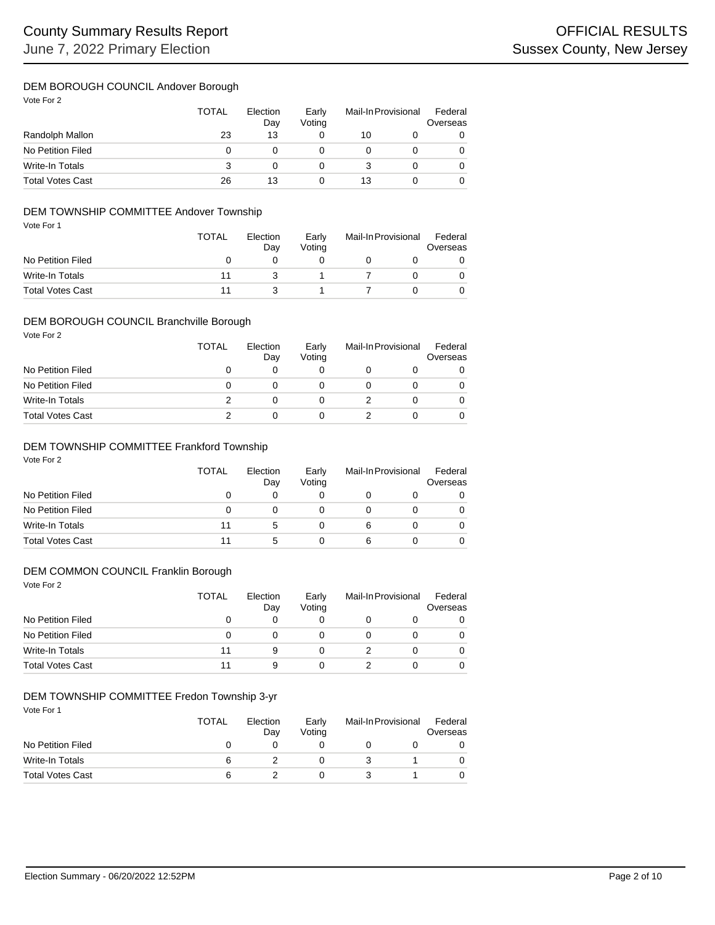### DEM BOROUGH COUNCIL Andover Borough

Vote For 2

|                         | <b>TOTAL</b> | Election<br>Day | Early<br>Votina | Mail-In Provisional |  | Federal<br>Overseas |
|-------------------------|--------------|-----------------|-----------------|---------------------|--|---------------------|
| Randolph Mallon         | 23           | 13              |                 | 10                  |  |                     |
| No Petition Filed       | $\Omega$     |                 |                 |                     |  |                     |
| Write-In Totals         | 3            |                 |                 |                     |  |                     |
| <b>Total Votes Cast</b> | 26           | 13              |                 | 13                  |  |                     |

#### Vote For 1 DEM TOWNSHIP COMMITTEE Andover Township

| VOLE FOI I              | <b>TOTAL</b> | Election<br>Dav | Early<br>Votina | Mail-In Provisional |  | Federal<br>Overseas |  |
|-------------------------|--------------|-----------------|-----------------|---------------------|--|---------------------|--|
| No Petition Filed       |              |                 |                 |                     |  |                     |  |
| Write-In Totals         | 11           |                 |                 |                     |  |                     |  |
| <b>Total Votes Cast</b> | 11           |                 |                 |                     |  |                     |  |

# DEM BOROUGH COUNCIL Branchville Borough

Vote For 2

|                         | TOTAL        | Election<br>Day | Early<br>Votina | Mail-In Provisional |  | Federal<br>Overseas |
|-------------------------|--------------|-----------------|-----------------|---------------------|--|---------------------|
| No Petition Filed       |              |                 |                 |                     |  |                     |
| No Petition Filed       | $\mathbf{I}$ |                 |                 |                     |  |                     |
| Write-In Totals         |              |                 |                 |                     |  |                     |
| <b>Total Votes Cast</b> |              |                 |                 |                     |  |                     |

# DEM TOWNSHIP COMMITTEE Frankford Township

Vote For 2

|                         | <b>TOTAL</b> | Election<br>Day | Early<br>Votina | Mail-In Provisional |  | Federal<br>Overseas |
|-------------------------|--------------|-----------------|-----------------|---------------------|--|---------------------|
| No Petition Filed       |              |                 |                 |                     |  |                     |
| No Petition Filed       |              |                 |                 |                     |  |                     |
| Write-In Totals         | 11           |                 |                 | 6                   |  |                     |
| <b>Total Votes Cast</b> | 11           |                 |                 |                     |  |                     |

# DEM COMMON COUNCIL Franklin Borough

Vote For 2

|                         | <b>TOTAL</b> | Election<br>Day | Early<br>Voting | Mail-In Provisional |  | Federal<br>Overseas |
|-------------------------|--------------|-----------------|-----------------|---------------------|--|---------------------|
| No Petition Filed       | O            |                 |                 |                     |  |                     |
| No Petition Filed       | Ω            |                 |                 |                     |  |                     |
| Write-In Totals         | 11           | 9               |                 |                     |  |                     |
| <b>Total Votes Cast</b> |              | 9               |                 |                     |  |                     |

#### DEM TOWNSHIP COMMITTEE Fredon Township 3-yr

| Vote For 1              | <b>TOTAL</b> | Election<br>Day | Early<br>Votina | Mail-In Provisional | Federal<br>Overseas |
|-------------------------|--------------|-----------------|-----------------|---------------------|---------------------|
| No Petition Filed       |              |                 |                 |                     |                     |
| Write-In Totals         | 6            |                 |                 |                     |                     |
| <b>Total Votes Cast</b> | 6            |                 |                 |                     |                     |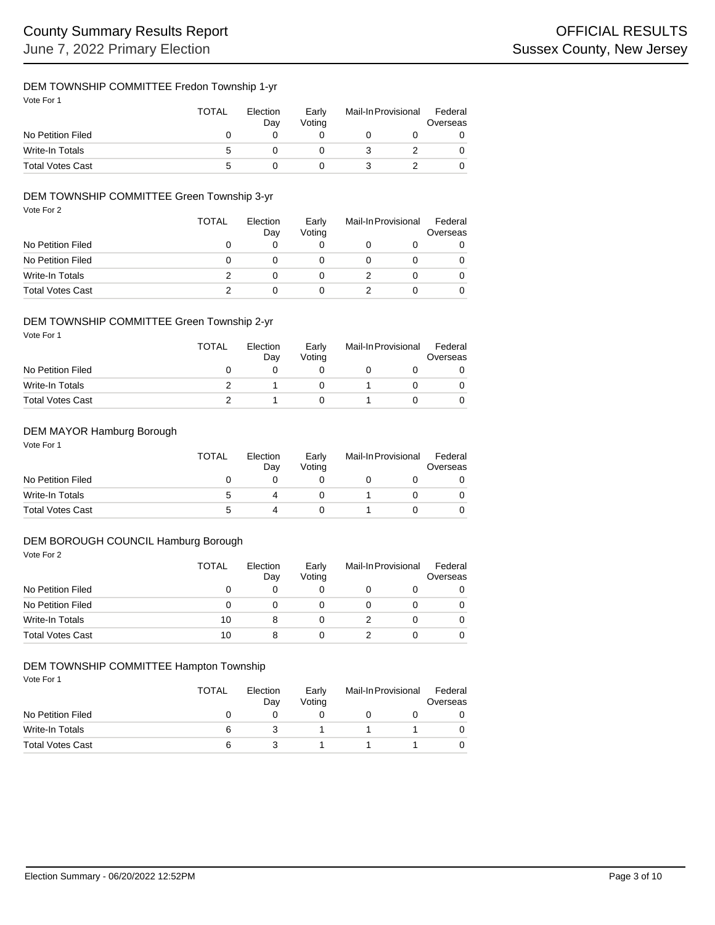# DEM TOWNSHIP COMMITTEE Fredon Township 1-yr

| Vote For 1              | <b>TOTAL</b> | Election<br>Day | Early<br>Voting | Mail-In Provisional | Federal<br>Overseas |
|-------------------------|--------------|-----------------|-----------------|---------------------|---------------------|
| No Petition Filed       |              |                 |                 |                     | 0                   |
| Write-In Totals         | 5            |                 |                 |                     | 0                   |
| <b>Total Votes Cast</b> | :5           |                 |                 |                     | 0                   |

# DEM TOWNSHIP COMMITTEE Green Township 3-yr

| Vote For 2              | <b>TOTAL</b> | Election<br>Day | Early<br>Voting | Mail-In Provisional |   | Federal<br>Overseas |
|-------------------------|--------------|-----------------|-----------------|---------------------|---|---------------------|
| No Petition Filed       | 0            | 0               | 0               |                     |   |                     |
| No Petition Filed       | 0            | 0               | 0               |                     |   |                     |
| <b>Write-In Totals</b>  | 2            | 0               | 0               |                     | 0 |                     |
| <b>Total Votes Cast</b> | 2            | 0               | 0               |                     | 0 |                     |

# DEM TOWNSHIP COMMITTEE Green Township 2-yr

Vote For 1

|                         | <b>TOTAL</b> | Election<br>Day | Early<br>Votina | Mail-In Provisional |  | Federal<br>Overseas |
|-------------------------|--------------|-----------------|-----------------|---------------------|--|---------------------|
| No Petition Filed       |              |                 |                 |                     |  |                     |
| Write-In Totals         |              |                 |                 |                     |  |                     |
| <b>Total Votes Cast</b> |              |                 |                 |                     |  |                     |

# DEM MAYOR Hamburg Borough

Vote For 1

|                         | <b>TOTAL</b> | Election<br>Dav | Early<br>Votina | Mail-In Provisional |  | Federal<br>Overseas |
|-------------------------|--------------|-----------------|-----------------|---------------------|--|---------------------|
| No Petition Filed       |              |                 |                 |                     |  |                     |
| Write-In Totals         | :            |                 |                 |                     |  |                     |
| <b>Total Votes Cast</b> | G            |                 |                 |                     |  |                     |

#### DEM BOROUGH COUNCIL Hamburg Borough

| Vote For 2              | <b>TOTAL</b> | Election<br>Day | Early<br>Voting | Mail-In Provisional |   | Federal<br>Overseas |  |
|-------------------------|--------------|-----------------|-----------------|---------------------|---|---------------------|--|
| No Petition Filed       | 0            | 0               | 0               |                     | O | 0                   |  |
| No Petition Filed       | 0            | 0               | 0               | O                   |   | $\Omega$            |  |
| Write-In Totals         | 10           | 8               | 0               |                     | 0 | $\Omega$            |  |
| <b>Total Votes Cast</b> | 10           | 8               | 0               |                     |   | $\Omega$            |  |

### DEM TOWNSHIP COMMITTEE Hampton Township

Vote For 1

|                         | TOTAL | Election<br>Day | Early<br>Votina | Mail-In Provisional |  | Federal<br>Overseas |
|-------------------------|-------|-----------------|-----------------|---------------------|--|---------------------|
| No Petition Filed       |       |                 |                 |                     |  |                     |
| Write-In Totals         | 6     |                 |                 |                     |  |                     |
| <b>Total Votes Cast</b> | 6     |                 |                 |                     |  |                     |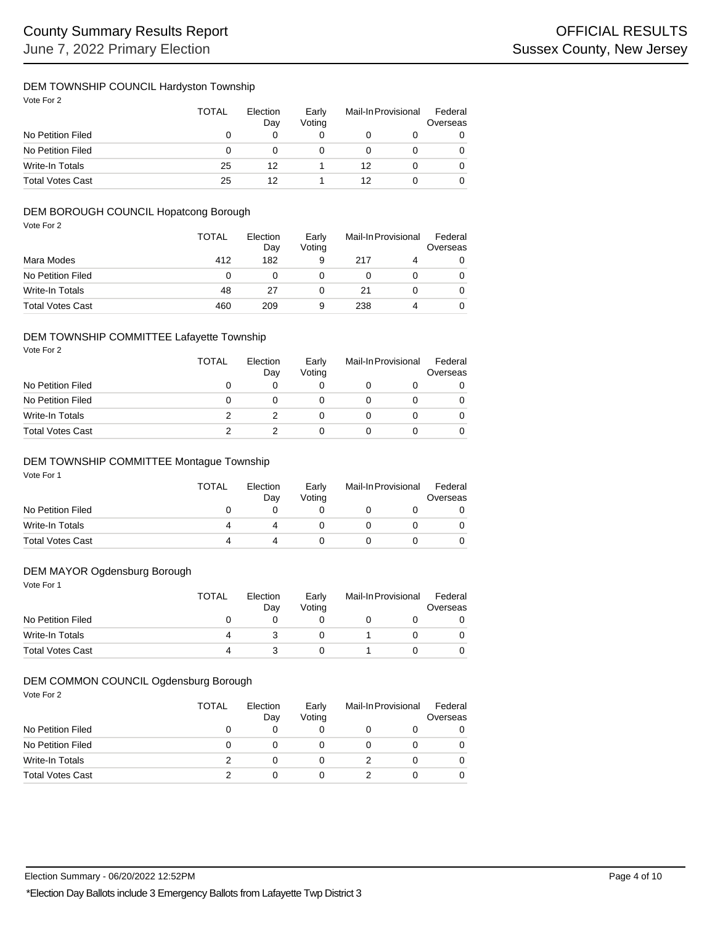# DEM TOWNSHIP COUNCIL Hardyston Township

Vote For 2

|                         | <b>TOTAL</b> | Election<br>Day | Early<br>Votina | Mail-In Provisional |  | Federal<br>Overseas |
|-------------------------|--------------|-----------------|-----------------|---------------------|--|---------------------|
| No Petition Filed       |              |                 |                 |                     |  |                     |
| No Petition Filed       | $\Omega$     |                 |                 |                     |  |                     |
| Write-In Totals         | 25           | 12              |                 | 12                  |  |                     |
| <b>Total Votes Cast</b> | 25           |                 |                 | 12                  |  |                     |

# DEM BOROUGH COUNCIL Hopatcong Borough

| Vote For 2              | <b>TOTAL</b> | Election<br>Day | Early<br>Voting | Mail-In Provisional |   | Federal<br>Overseas |
|-------------------------|--------------|-----------------|-----------------|---------------------|---|---------------------|
| Mara Modes              | 412          | 182             | 9               | 217                 | 4 | 0                   |
| No Petition Filed       | 0            |                 | 0               | 0                   |   | 0                   |
| <b>Write-In Totals</b>  | 48           | 27              | 0               | 21                  | 0 | 0                   |
| <b>Total Votes Cast</b> | 460          | 209             | 9               | 238                 | 4 | 0                   |

### DEM TOWNSHIP COMMITTEE Lafayette Township

| Vote For 2              | <b>TOTAL</b> | Election<br>Day | Early<br>Voting | Mail-In Provisional |   | Federal<br>Overseas |
|-------------------------|--------------|-----------------|-----------------|---------------------|---|---------------------|
| No Petition Filed       | 0            | 0               | 0               |                     | O |                     |
| No Petition Filed       | 0            | 0               | 0               |                     | 0 |                     |
| Write-In Totals         | 2            |                 | 0               |                     | 0 |                     |
| <b>Total Votes Cast</b> |              |                 | 0               |                     | ი |                     |

#### Vote For 1 DEM TOWNSHIP COMMITTEE Montague Township

| VULE FUII               | <b>TOTAL</b> | Election<br>Dav | Early<br>Votina | Mail-In Provisional |  | Federal<br>Overseas |  |
|-------------------------|--------------|-----------------|-----------------|---------------------|--|---------------------|--|
| No Petition Filed       |              |                 |                 |                     |  |                     |  |
| Write-In Totals         |              |                 |                 |                     |  | 0                   |  |
| <b>Total Votes Cast</b> | Δ            | $\Delta$        |                 |                     |  |                     |  |

# DEM MAYOR Ogdensburg Borough

Vote For 1

|                         | TOTAL | Election<br>Day | Early<br>Votina | Mail-In Provisional |  | Federal<br>Overseas |
|-------------------------|-------|-----------------|-----------------|---------------------|--|---------------------|
| No Petition Filed       |       |                 |                 |                     |  |                     |
| Write-In Totals         |       |                 |                 |                     |  |                     |
| <b>Total Votes Cast</b> |       |                 |                 |                     |  |                     |

#### Vote For 2 DEM COMMON COUNCIL Ogdensburg Borough

| VUIT I UI Z             | TOTAL    | Election<br>Day | Early<br>Voting | Mail-In Provisional |  | Federal<br>Overseas |  |
|-------------------------|----------|-----------------|-----------------|---------------------|--|---------------------|--|
| No Petition Filed       | $\Omega$ | Ω               |                 |                     |  | 0                   |  |
| No Petition Filed       | 0        |                 |                 |                     |  | 0                   |  |
| Write-In Totals         |          | Ω               |                 |                     |  | 0                   |  |
| <b>Total Votes Cast</b> | っ        | ი               |                 |                     |  | 0                   |  |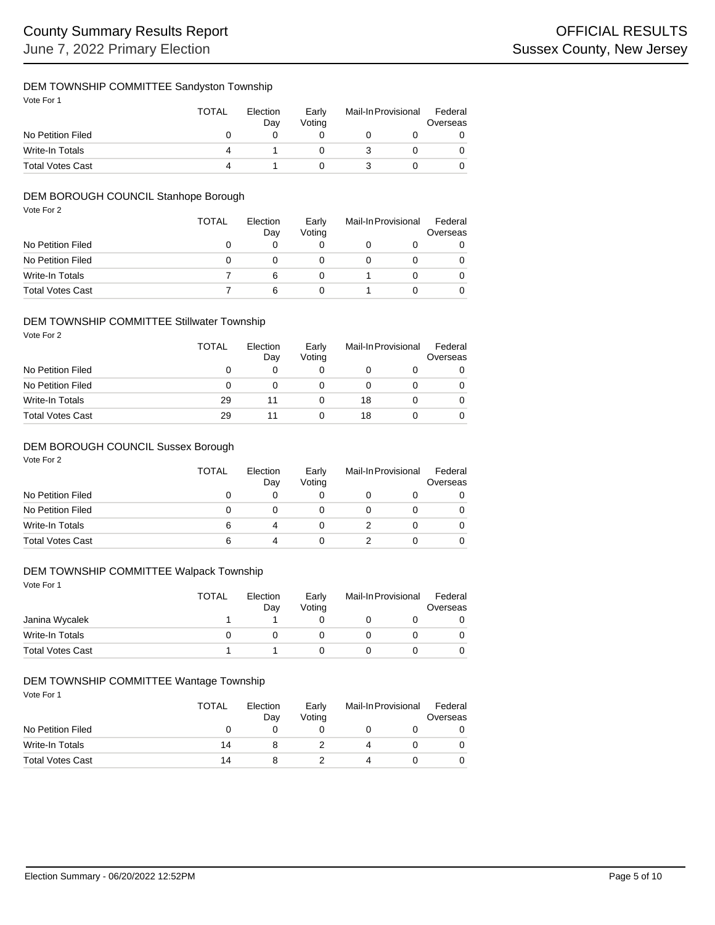# DEM TOWNSHIP COMMITTEE Sandyston Township

Vote For 1

|                         | <b>TOTAL</b> | Election<br>Dav | Early<br>Votina | Mail-In Provisional |  | Federal<br>Overseas |
|-------------------------|--------------|-----------------|-----------------|---------------------|--|---------------------|
| No Petition Filed       |              |                 |                 |                     |  |                     |
| Write-In Totals         |              |                 |                 |                     |  |                     |
| <b>Total Votes Cast</b> |              |                 |                 |                     |  |                     |

# DEM BOROUGH COUNCIL Stanhope Borough

| Vote For 2              | <b>TOTAL</b> | Election<br>Day | Early<br>Voting | Mail-In Provisional |  | Federal<br>Overseas |
|-------------------------|--------------|-----------------|-----------------|---------------------|--|---------------------|
| No Petition Filed       | 0            | 0               | 0               | O                   |  |                     |
| No Petition Filed       | 0            | 0               | 0               |                     |  | 0                   |
| <b>Write-In Totals</b>  |              | 6               | 0               |                     |  |                     |
| <b>Total Votes Cast</b> |              | 6               | 0               |                     |  |                     |

# DEM TOWNSHIP COMMITTEE Stillwater Township

Vote For 2

|                         | TOTAL        | Election<br>Day | Early<br>Votina | Mail-In Provisional |  | Federal<br>Overseas |
|-------------------------|--------------|-----------------|-----------------|---------------------|--|---------------------|
| No Petition Filed       | $\mathbf{0}$ |                 |                 |                     |  |                     |
| No Petition Filed       | $\mathbf{0}$ |                 |                 |                     |  |                     |
| Write-In Totals         | 29           | 11              |                 | 18                  |  |                     |
| <b>Total Votes Cast</b> | 29           |                 |                 | 18                  |  |                     |

# DEM BOROUGH COUNCIL Sussex Borough

Vote For 2

|                         | <b>TOTAL</b> | Election<br>Day | Early<br>Votina | Mail-In Provisional |  | Federal<br>Overseas |
|-------------------------|--------------|-----------------|-----------------|---------------------|--|---------------------|
| No Petition Filed       |              |                 |                 |                     |  |                     |
| No Petition Filed       |              |                 |                 |                     |  |                     |
| Write-In Totals         | 6            | 4               |                 |                     |  |                     |
| <b>Total Votes Cast</b> | 6            | 4               |                 |                     |  |                     |

# DEM TOWNSHIP COMMITTEE Walpack Township

Vote For 1

|                         | <b>TOTAL</b> | Election<br>Dav | Early<br>Votina | Mail-In Provisional |  | Federal<br>Overseas |
|-------------------------|--------------|-----------------|-----------------|---------------------|--|---------------------|
| Janina Wycalek          |              |                 |                 |                     |  |                     |
| Write-In Totals         |              |                 |                 |                     |  |                     |
| <b>Total Votes Cast</b> |              |                 |                 |                     |  |                     |

## DEM TOWNSHIP COMMITTEE Wantage Township

| Vote For 1              | TOTAL | Election<br>Day | Early<br>Votina | Mail-In Provisional | Federal<br>Overseas |
|-------------------------|-------|-----------------|-----------------|---------------------|---------------------|
| No Petition Filed       | 0     |                 |                 |                     |                     |
| Write-In Totals         | 14    | 8               |                 |                     |                     |
| <b>Total Votes Cast</b> | 14    | 8               |                 |                     |                     |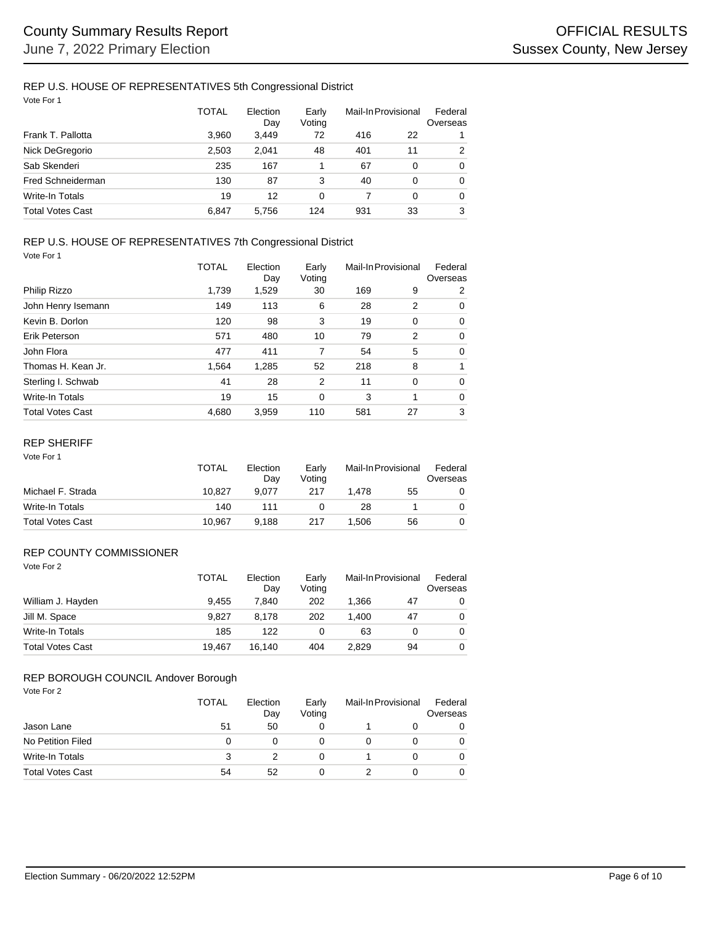# REP U.S. HOUSE OF REPRESENTATIVES 5th Congressional District

| Vote For 1              |       |                 |                 |                     |          |                     |
|-------------------------|-------|-----------------|-----------------|---------------------|----------|---------------------|
|                         | TOTAL | Election<br>Day | Early<br>Voting | Mail-In Provisional |          | Federal<br>Overseas |
| Frank T. Pallotta       | 3.960 | 3.449           | 72              | 416                 | 22       |                     |
| Nick DeGregorio         | 2,503 | 2.041           | 48              | 401                 | 11       | 2                   |
| Sab Skenderi            | 235   | 167             | 1               | 67                  | $\Omega$ | $\Omega$            |
| Fred Schneiderman       | 130   | 87              | 3               | 40                  | $\Omega$ | $\Omega$            |
| Write-In Totals         | 19    | 12              | $\Omega$        |                     | 0        | $\Omega$            |
| <b>Total Votes Cast</b> | 6.847 | 5.756           | 124             | 931                 | 33       | 3                   |

### REP U.S. HOUSE OF REPRESENTATIVES 7th Congressional District

Vote For 1

|                         | TOTAL | Election<br>Day | Early<br>Voting | Mail-In Provisional |             | Federal<br>Overseas |
|-------------------------|-------|-----------------|-----------------|---------------------|-------------|---------------------|
| Philip Rizzo            | 1,739 | 1,529           | 30              | 169                 | 9           | 2                   |
| John Henry Isemann      | 149   | 113             | 6               | 28                  | 2           | $\Omega$            |
| Kevin B. Dorlon         | 120   | 98              | 3               | 19                  | $\mathbf 0$ | $\Omega$            |
| Erik Peterson           | 571   | 480             | 10              | 79                  | 2           | $\Omega$            |
| John Flora              | 477   | 411             | 7               | 54                  | 5           | $\Omega$            |
| Thomas H. Kean Jr.      | 1.564 | 1,285           | 52              | 218                 | 8           |                     |
| Sterling I. Schwab      | 41    | 28              | 2               | 11                  | $\Omega$    | $\Omega$            |
| <b>Write-In Totals</b>  | 19    | 15              | 0               | 3                   | 1           | $\Omega$            |
| <b>Total Votes Cast</b> | 4.680 | 3,959           | 110             | 581                 | 27          | 3                   |

#### REP SHERIFF

Vote For 1

|                         | <b>TOTAL</b> | Election<br>Dav | Early<br>Votina | Mail-In Provisional |    | Federal<br>Overseas |
|-------------------------|--------------|-----------------|-----------------|---------------------|----|---------------------|
| Michael F. Strada       | 10.827       | 9.077           | 217             | 1.478               | 55 | 0                   |
| Write-In Totals         | 140          | 111             |                 | 28                  |    |                     |
| <b>Total Votes Cast</b> | 10.967       | 9.188           | 217             | 1.506               | 56 | 0                   |

## REP COUNTY COMMISSIONER

Vote For 2

|                         | <b>TOTAL</b> | Election<br>Dav | Early<br>Votina | Mail-In Provisional |    | Federal<br>Overseas |
|-------------------------|--------------|-----------------|-----------------|---------------------|----|---------------------|
| William J. Hayden       | 9.455        | 7.840           | 202             | 1.366               | 47 | 0                   |
| Jill M. Space           | 9.827        | 8.178           | 202             | 1.400               | 47 | 0                   |
| Write-In Totals         | 185          | 122             | 0               | 63                  |    | 0                   |
| <b>Total Votes Cast</b> | 19.467       | 16.140          | 404             | 2.829               | 94 | 0                   |

## REP BOROUGH COUNCIL Andover Borough

| Vote For 2              | <b>TOTAL</b> | Election<br>Day | Early<br>Voting | Mail-In Provisional |   | Federal<br>Overseas |
|-------------------------|--------------|-----------------|-----------------|---------------------|---|---------------------|
| Jason Lane              | 51           | 50              | 0               |                     | O | 0                   |
| No Petition Filed       | 0            | 0               | 0               | 0                   |   | 0                   |
| Write-In Totals         | 3            | 2               | 0               |                     |   | $\Omega$            |
| <b>Total Votes Cast</b> | 54           | 52              |                 |                     |   | 0                   |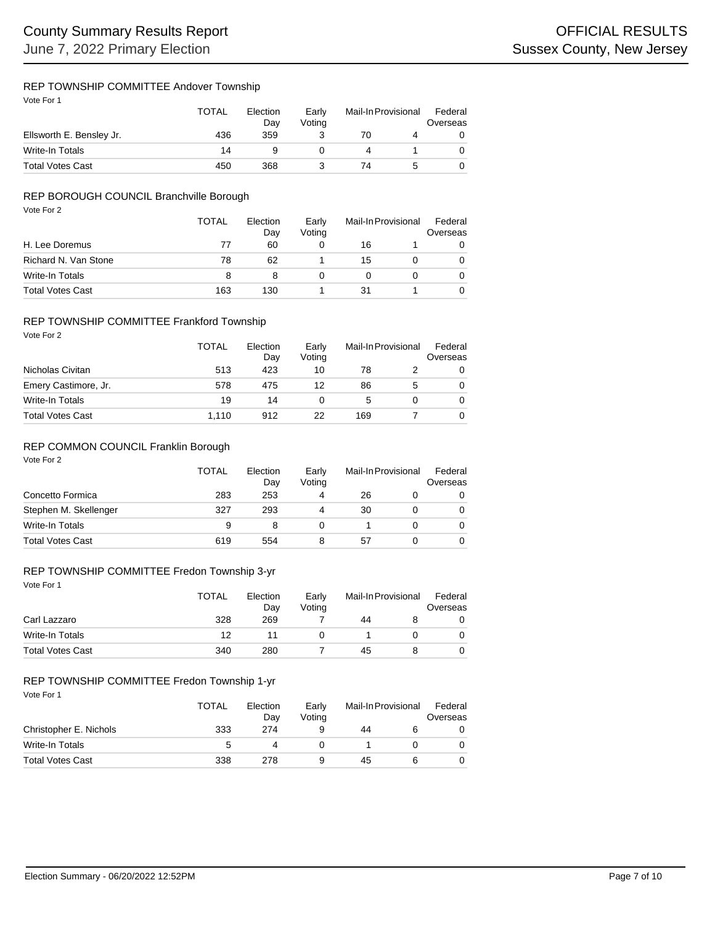### REP TOWNSHIP COMMITTEE Andover Township

Vote For 1

|                          | <b>TOTAL</b> | Election<br>Dav | Early<br>Votina | Mail-In Provisional |  | Federal<br>Overseas |
|--------------------------|--------------|-----------------|-----------------|---------------------|--|---------------------|
| Ellsworth E. Bensley Jr. | 436          | 359             |                 | 70                  |  |                     |
| Write-In Totals          | 14           |                 |                 |                     |  |                     |
| <b>Total Votes Cast</b>  | 450          | 368             |                 | 74                  |  |                     |

# REP BOROUGH COUNCIL Branchville Borough

| Vote For 2              | <b>TOTAL</b><br>Election<br>Early<br>Voting<br>Day |     | Mail-In Provisional |    | Federal<br>Overseas |   |
|-------------------------|----------------------------------------------------|-----|---------------------|----|---------------------|---|
| H. Lee Doremus          | 77                                                 | 60  | 0                   | 16 |                     | 0 |
| Richard N. Van Stone    | 78                                                 | 62  |                     | 15 | 0                   | 0 |
| <b>Write-In Totals</b>  | 8                                                  | 8   | 0                   |    | 0                   | 0 |
| <b>Total Votes Cast</b> | 163                                                | 130 |                     | 31 |                     | 0 |

### REP TOWNSHIP COMMITTEE Frankford Township

Vote For 2

|                         | TOTAL | Election<br>Day | Early<br>Voting | Mail-In Provisional |   | Federal<br>Overseas |
|-------------------------|-------|-----------------|-----------------|---------------------|---|---------------------|
| Nicholas Civitan        | 513   | 423             | 10              | 78                  |   | 0                   |
| Emery Castimore, Jr.    | 578   | 475             | 12              | 86                  | 5 | 0                   |
| Write-In Totals         | 19    | 14              |                 |                     |   |                     |
| <b>Total Votes Cast</b> | 1.110 | 912             | 22              | 169                 |   |                     |

#### REP COMMON COUNCIL Franklin Borough

Vote For 2

|                         | <b>TOTAL</b> | Election<br>Day | Early<br>Votina | Mail-In Provisional |  | Federal<br>Overseas |  |
|-------------------------|--------------|-----------------|-----------------|---------------------|--|---------------------|--|
| Concetto Formica        | 283          | 253             | 4               | 26                  |  |                     |  |
| Stephen M. Skellenger   | 327          | 293             | 4               | 30                  |  |                     |  |
| Write-In Totals         | 9            |                 |                 |                     |  |                     |  |
| <b>Total Votes Cast</b> | 619          | 554             | 8               | 57                  |  |                     |  |

# REP TOWNSHIP COMMITTEE Fredon Township 3-yr

Vote For 1

|                         | <b>TOTAL</b> | Election<br>Day<br>269 | Early<br>Voting | Mail-In Provisional |  | Federal<br>Overseas |  |
|-------------------------|--------------|------------------------|-----------------|---------------------|--|---------------------|--|
| Carl Lazzaro            | 328          |                        |                 | 44                  |  |                     |  |
| Write-In Totals         | 12           |                        |                 |                     |  |                     |  |
| <b>Total Votes Cast</b> | 340          | 280                    |                 | 45                  |  |                     |  |

## REP TOWNSHIP COMMITTEE Fredon Township 1-yr

| Vote For 1              | TOTAL | Election<br>Day | Early<br>Votina | Mail-In Provisional |   | Federal<br>Overseas |
|-------------------------|-------|-----------------|-----------------|---------------------|---|---------------------|
| Christopher E. Nichols  | 333   | 274             | 9               | 44                  | 6 | 0                   |
| Write-In Totals         | 5     |                 |                 |                     |   | 0                   |
| <b>Total Votes Cast</b> | 338   | 278             | 9               | 45                  | 6 | 0                   |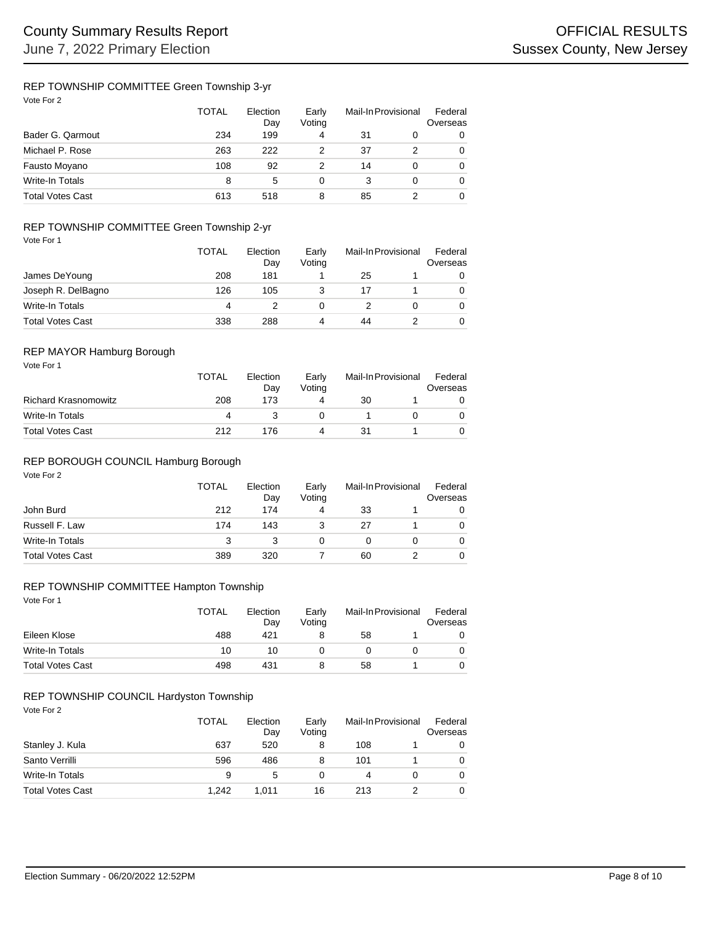### REP TOWNSHIP COMMITTEE Green Township 3-yr

|                         | TOTAL | Election<br>Day | Early<br>Voting | Mail-In Provisional |  | Federal<br>Overseas |
|-------------------------|-------|-----------------|-----------------|---------------------|--|---------------------|
| Bader G. Qarmout        | 234   | 199             | 4               | 31                  |  | 0                   |
| Michael P. Rose         | 263   | 222             |                 | 37                  |  | 0                   |
| Fausto Moyano           | 108   | 92              |                 | 14                  |  | 0                   |
| Write-In Totals         | 8     | 5               | O               |                     |  | 0                   |
| <b>Total Votes Cast</b> | 613   | 518             | 8               | 85                  |  | 0                   |

### REP TOWNSHIP COMMITTEE Green Township 2-yr

| Vote For 1 |
|------------|
|------------|

|                         | <b>TOTAL</b> | Election<br>Day | Early<br>Voting | Mail-In Provisional | Federal<br>Overseas |
|-------------------------|--------------|-----------------|-----------------|---------------------|---------------------|
| James DeYoung           | 208          | 181             |                 | 25                  |                     |
| Joseph R. DelBagno      | 126          | 105             |                 |                     |                     |
| Write-In Totals         | 4            |                 |                 |                     | 0                   |
| <b>Total Votes Cast</b> | 338          | 288             |                 | 44                  |                     |

# REP MAYOR Hamburg Borough

| Vote For 1                  | TOTAL | Election<br>Day | Early<br>Votina | Mail-In Provisional |  | Federal<br>Overseas |
|-----------------------------|-------|-----------------|-----------------|---------------------|--|---------------------|
| <b>Richard Krasnomowitz</b> | 208   | 173             | 4               | 30                  |  |                     |
| Write-In Totals             | 4     |                 |                 |                     |  |                     |
| <b>Total Votes Cast</b>     | 212   | 176             | 4               | 31                  |  |                     |

# REP BOROUGH COUNCIL Hamburg Borough

| Vote For 2              | <b>TOTAL</b> | Election<br>Day | Early<br>Voting | Mail-In Provisional |   | Federal<br>Overseas |
|-------------------------|--------------|-----------------|-----------------|---------------------|---|---------------------|
| John Burd               | 212          | 174             | 4               | 33                  |   |                     |
| Russell F. Law          | 174          | 143             | 3               | 27                  |   |                     |
| Write-In Totals         | 3            | 3               |                 | 0                   | 0 |                     |
| <b>Total Votes Cast</b> | 389          | 320             |                 | 60                  |   |                     |

### REP TOWNSHIP COMMITTEE Hampton Township

Vote For 1

|                         | <b>TOTAL</b><br>488 | Election<br>Day | Early<br>Votina | Mail-In Provisional |  | Federal<br>Overseas |  |
|-------------------------|---------------------|-----------------|-----------------|---------------------|--|---------------------|--|
| Eileen Klose            |                     | 421             |                 | 58                  |  |                     |  |
| Write-In Totals         | 10                  | 10              |                 |                     |  |                     |  |
| <b>Total Votes Cast</b> | 498                 | 431             |                 | 58                  |  |                     |  |

# REP TOWNSHIP COUNCIL Hardyston Township

| Vote For 2              | <b>TOTAL</b> | Election<br>Day | Early<br>Voting | Mail-In Provisional |   | Federal<br>Overseas |  |
|-------------------------|--------------|-----------------|-----------------|---------------------|---|---------------------|--|
| Stanley J. Kula         | 637          | 520             | 8               | 108                 |   | 0                   |  |
| Santo Verrilli          | 596          | 486             | 8               | 101                 |   | 0                   |  |
| Write-In Totals         | 9            | 5               |                 | 4                   | 0 | 0                   |  |
| <b>Total Votes Cast</b> | 1.242        | 1.011           | 16              | 213                 |   | 0                   |  |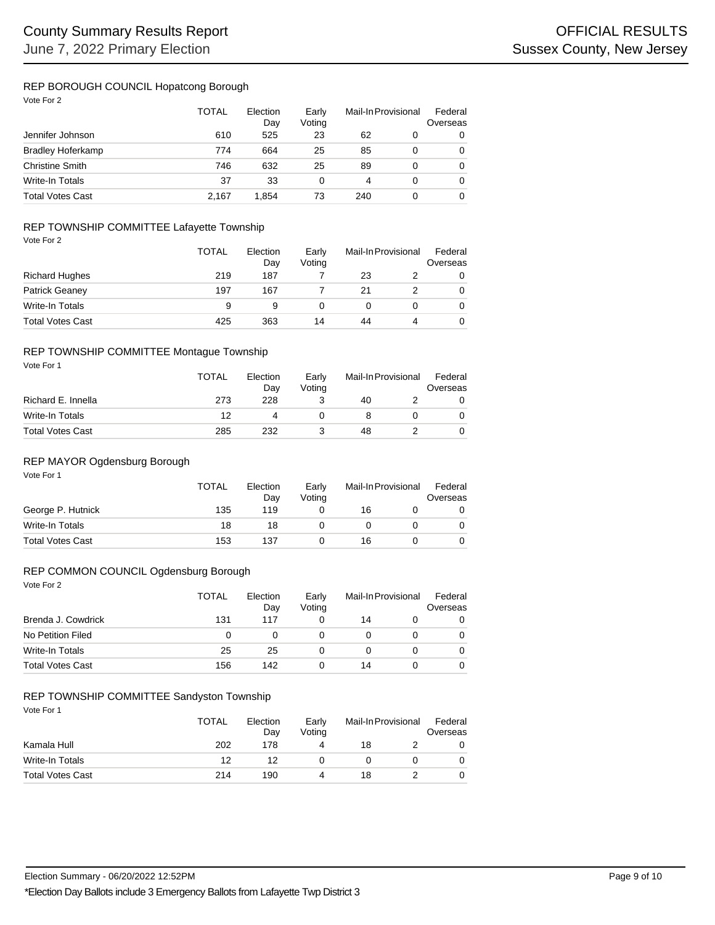### REP BOROUGH COUNCIL Hopatcong Borough

Vote For 2

|                          | <b>TOTAL</b> | Election<br>Day | Early<br>Voting | Mail-In Provisional |   | Federal<br>Overseas |  |
|--------------------------|--------------|-----------------|-----------------|---------------------|---|---------------------|--|
| Jennifer Johnson         | 610          | 525             | 23              | 62                  | 0 |                     |  |
| <b>Bradley Hoferkamp</b> | 774          | 664             | 25              | 85                  | 0 |                     |  |
| <b>Christine Smith</b>   | 746          | 632             | 25              | 89                  | 0 |                     |  |
| Write-In Totals          | 37           | 33              | 0               | 4                   | 0 |                     |  |
| <b>Total Votes Cast</b>  | 2.167        | 1.854           | 73              | 240                 |   |                     |  |

## REP TOWNSHIP COMMITTEE Lafayette Township

|  | Vote For |  |  |
|--|----------|--|--|
|--|----------|--|--|

|                         | <b>TOTAL</b> | Election<br>Day | Early<br>Votina |    | Mail-In Provisional | Federal<br>Overseas |
|-------------------------|--------------|-----------------|-----------------|----|---------------------|---------------------|
| <b>Richard Hughes</b>   | 219          | 187             |                 | 23 |                     | 0                   |
| <b>Patrick Geaney</b>   | 197          | 167             |                 | 21 |                     | 0                   |
| Write-In Totals         | 9            | 9               |                 |    |                     | 0                   |
| <b>Total Votes Cast</b> | 425          | 363             | 14              | 44 |                     | 0                   |

#### REP TOWNSHIP COMMITTEE Montague Township

| Vote For 1              | TOTAL | Election<br>Day | Early<br>Voting | Mail-In Provisional | Federal<br>Overseas |
|-------------------------|-------|-----------------|-----------------|---------------------|---------------------|
| Richard E. Innella      | 273   | 228             |                 | 40                  |                     |
| Write-In Totals         | 12    | 4               |                 |                     |                     |
| <b>Total Votes Cast</b> | 285   | 232             |                 | 48                  |                     |

### REP MAYOR Ogdensburg Borough

| Vote For 1              | <b>TOTAL</b> | Election<br>Day | Early<br>Voting | Mail-In Provisional |  | Federal<br>Overseas |  |
|-------------------------|--------------|-----------------|-----------------|---------------------|--|---------------------|--|
| George P. Hutnick       | 135          | 119             |                 | 16                  |  |                     |  |
| Write-In Totals         | 18           | 18              |                 |                     |  |                     |  |
| <b>Total Votes Cast</b> | 153          | 137             |                 | 16                  |  |                     |  |

# REP COMMON COUNCIL Ogdensburg Borough

Vote For 2

|                         | TOTAL | Election<br>Day | Early<br>Voting | Mail-In Provisional |  | Federal<br>Overseas |
|-------------------------|-------|-----------------|-----------------|---------------------|--|---------------------|
| Brenda J. Cowdrick      | 131   | 117             |                 | 14                  |  |                     |
| No Petition Filed       | 0     | $\mathbf{0}$    |                 |                     |  |                     |
| Write-In Totals         | 25    | 25              |                 |                     |  |                     |
| <b>Total Votes Cast</b> | 156   | 142             |                 | 14                  |  |                     |

# REP TOWNSHIP COMMITTEE Sandyston Township

| Vote For 1              | TOTAL | Election<br>Day | Early<br>Voting | Mail-In Provisional | Federal<br>Overseas |  |
|-------------------------|-------|-----------------|-----------------|---------------------|---------------------|--|
| Kamala Hull             | 202   | 178             | 4               | 18                  | 0                   |  |
| Write-In Totals         | 12    | 12              |                 |                     | 0                   |  |
| <b>Total Votes Cast</b> | 214   | 190             | 4               | 18                  | 0                   |  |